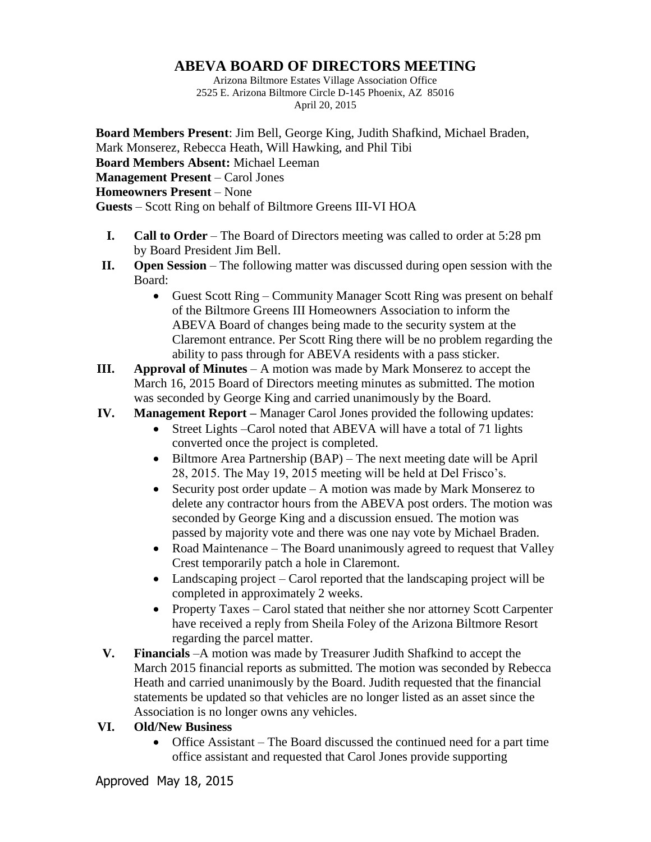## **ABEVA BOARD OF DIRECTORS MEETING**

Arizona Biltmore Estates Village Association Office 2525 E. Arizona Biltmore Circle D-145 Phoenix, AZ 85016 April 20, 2015

**Board Members Present**: Jim Bell, George King, Judith Shafkind, Michael Braden, Mark Monserez, Rebecca Heath, Will Hawking, and Phil Tibi **Board Members Absent:** Michael Leeman **Management Present** – Carol Jones **Homeowners Present** – None **Guests** – Scott Ring on behalf of Biltmore Greens III-VI HOA

- **I. Call to Order** The Board of Directors meeting was called to order at 5:28 pm by Board President Jim Bell.
- **II. Open Session** The following matter was discussed during open session with the Board:
	- Guest Scott Ring Community Manager Scott Ring was present on behalf of the Biltmore Greens III Homeowners Association to inform the ABEVA Board of changes being made to the security system at the Claremont entrance. Per Scott Ring there will be no problem regarding the ability to pass through for ABEVA residents with a pass sticker.
- **III. Approval of Minutes** A motion was made by Mark Monserez to accept the March 16, 2015 Board of Directors meeting minutes as submitted. The motion was seconded by George King and carried unanimously by the Board.

## **IV. Management Report –** Manager Carol Jones provided the following updates:

- Street Lights –Carol noted that ABEVA will have a total of 71 lights converted once the project is completed.
- Biltmore Area Partnership (BAP) The next meeting date will be April 28, 2015. The May 19, 2015 meeting will be held at Del Frisco's.
- Security post order update A motion was made by Mark Monserez to delete any contractor hours from the ABEVA post orders. The motion was seconded by George King and a discussion ensued. The motion was passed by majority vote and there was one nay vote by Michael Braden.
- Road Maintenance The Board unanimously agreed to request that Valley Crest temporarily patch a hole in Claremont.
- Landscaping project Carol reported that the landscaping project will be completed in approximately 2 weeks.
- Property Taxes Carol stated that neither she nor attorney Scott Carpenter have received a reply from Sheila Foley of the Arizona Biltmore Resort regarding the parcel matter.
- **V. Financials** –A motion was made by Treasurer Judith Shafkind to accept the March 2015 financial reports as submitted. The motion was seconded by Rebecca Heath and carried unanimously by the Board. Judith requested that the financial statements be updated so that vehicles are no longer listed as an asset since the Association is no longer owns any vehicles.

## **VI. Old/New Business**

• Office Assistant – The Board discussed the continued need for a part time office assistant and requested that Carol Jones provide supporting

Approved May 18, 2015